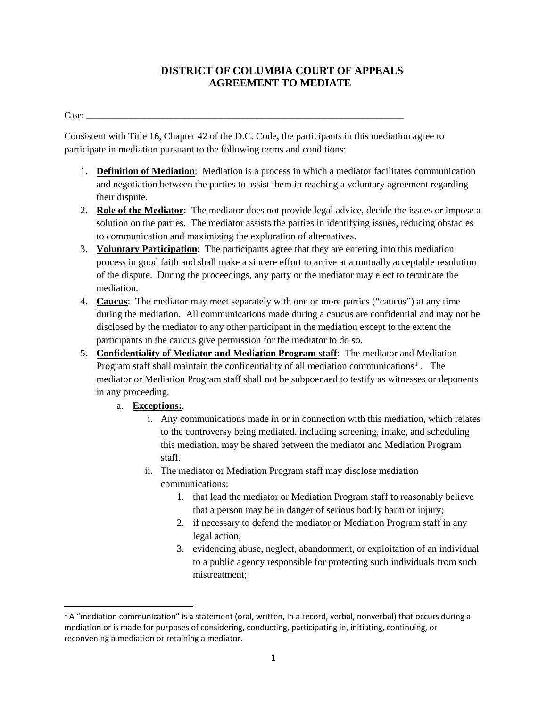## **DISTRICT OF COLUMBIA COURT OF APPEALS AGREEMENT TO MEDIATE**

Case: \_\_\_\_\_\_\_\_\_\_\_\_\_\_\_\_\_\_\_\_\_\_\_\_\_\_\_\_\_\_\_\_\_\_\_\_\_\_\_\_\_\_\_\_\_\_\_\_\_\_\_\_\_\_\_\_\_\_\_\_\_\_\_\_\_\_\_\_\_\_\_

Consistent with Title 16, Chapter 42 of the D.C. Code, the participants in this mediation agree to participate in mediation pursuant to the following terms and conditions:

- 1. **Definition of Mediation**: Mediation is a process in which a mediator facilitates communication and negotiation between the parties to assist them in reaching a voluntary agreement regarding their dispute.
- 2. **Role of the Mediator**: The mediator does not provide legal advice, decide the issues or impose a solution on the parties. The mediator assists the parties in identifying issues, reducing obstacles to communication and maximizing the exploration of alternatives.
- 3. **Voluntary Participation**: The participants agree that they are entering into this mediation process in good faith and shall make a sincere effort to arrive at a mutually acceptable resolution of the dispute. During the proceedings, any party or the mediator may elect to terminate the mediation.
- 4. **Caucus**: The mediator may meet separately with one or more parties ("caucus") at any time during the mediation. All communications made during a caucus are confidential and may not be disclosed by the mediator to any other participant in the mediation except to the extent the participants in the caucus give permission for the mediator to do so.
- 5. **Confidentiality of Mediator and Mediation Program staff**: The mediator and Mediation Program staff shall maintain the confidentiality of all mediation communications<sup>[1](#page-0-0)</sup>. The mediator or Mediation Program staff shall not be subpoenaed to testify as witnesses or deponents in any proceeding.
	- a. **Exceptions:**.
		- i. Any communications made in or in connection with this mediation, which relates to the controversy being mediated, including screening, intake, and scheduling this mediation, may be shared between the mediator and Mediation Program staff.
		- ii. The mediator or Mediation Program staff may disclose mediation communications:
			- 1. that lead the mediator or Mediation Program staff to reasonably believe that a person may be in danger of serious bodily harm or injury;
			- 2. if necessary to defend the mediator or Mediation Program staff in any legal action;
			- 3. evidencing abuse, neglect, abandonment, or exploitation of an individual to a public agency responsible for protecting such individuals from such mistreatment;

<span id="page-0-0"></span> $1A$  "mediation communication" is a statement (oral, written, in a record, verbal, nonverbal) that occurs during a mediation or is made for purposes of considering, conducting, participating in, initiating, continuing, or reconvening a mediation or retaining a mediator.